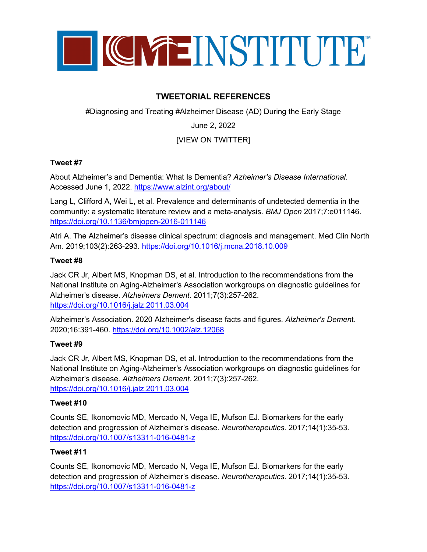

# **TWEETORIAL REFERENCES**

#Diagnosing and Treating #Alzheimer Disease (AD) During the Early Stage

# June 2, 2022

# [VIEW ON TWITTER]

### **Tweet #7**

About Alzheimer's and Dementia: What Is Dementia? *Azheimer's Disease International*. Accessed June 1, 2022.<https://www.alzint.org/about/>

Lang L, Clifford A, Wei L, et al. Prevalence and determinants of undetected dementia in the community: a systematic literature review and a meta-analysis. *BMJ Open* 2017;7:e011146. <https://doi.org/10.1136/bmjopen-2016-011146>

Atri A. The Alzheimer's disease clinical spectrum: diagnosis and management. Med Clin North Am. 2019;103(2):263-293.<https://doi.org/10.1016/j.mcna.2018.10.009>

### **Tweet #8**

Jack CR Jr, Albert MS, Knopman DS, et al. Introduction to the recommendations from the National Institute on Aging-Alzheimer's Association workgroups on diagnostic guidelines for Alzheimer's disease. *Alzheimers Dement*. 2011;7(3):257-262. <https://doi.org/10.1016/j.jalz.2011.03.004>

Alzheimer's Association. 2020 Alzheimer's disease facts and figures. *Alzheimer's Demen*t. 2020;16:391-460. <https://doi.org/10.1002/alz.12068>

### **Tweet #9**

Jack CR Jr, Albert MS, Knopman DS, et al. Introduction to the recommendations from the National Institute on Aging-Alzheimer's Association workgroups on diagnostic guidelines for Alzheimer's disease. *Alzheimers Dement*. 2011;7(3):257-262. <https://doi.org/10.1016/j.jalz.2011.03.004>

### **Tweet #10**

Counts SE, Ikonomovic MD, Mercado N, Vega IE, Mufson EJ. Biomarkers for the early detection and progression of Alzheimer's disease. *Neurotherapeutics*. 2017;14(1):35-53. <https://doi.org/10.1007/s13311-016-0481-z>

### **Tweet #11**

Counts SE, Ikonomovic MD, Mercado N, Vega IE, Mufson EJ. Biomarkers for the early detection and progression of Alzheimer's disease. *Neurotherapeutics*. 2017;14(1):35-53. <https://doi.org/10.1007/s13311-016-0481-z>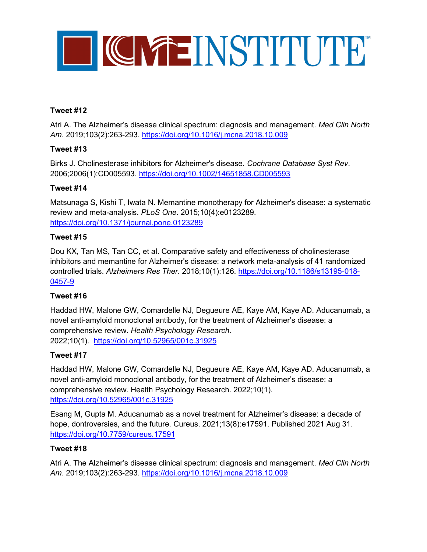

# **Tweet #12**

Atri A. The Alzheimer's disease clinical spectrum: diagnosis and management. *Med Clin North Am*. 2019;103(2):263-293.<https://doi.org/10.1016/j.mcna.2018.10.009>

# **Tweet #13**

Birks J. Cholinesterase inhibitors for Alzheimer's disease. *Cochrane Database Syst Rev*. 2006;2006(1):CD005593.<https://doi.org/10.1002/14651858.CD005593>

### **Tweet #14**

Matsunaga S, Kishi T, Iwata N. Memantine monotherapy for Alzheimer's disease: a systematic review and meta-analysis. *PLoS One*. 2015;10(4):e0123289. <https://doi.org/10.1371/journal.pone.0123289>

### **Tweet #15**

Dou KX, Tan MS, Tan CC, et al. Comparative safety and effectiveness of cholinesterase inhibitors and memantine for Alzheimer's disease: a network meta-analysis of 41 randomized controlled trials. *Alzheimers Res Ther*. 2018;10(1):126. [https://doi.org/10.1186/s13195-018-](https://doi.org/10.1186/s13195-018-0457-9) [0457-9](https://doi.org/10.1186/s13195-018-0457-9)

# **Tweet #16**

Haddad HW, Malone GW, Comardelle NJ, Degueure AE, Kaye AM, Kaye AD. Aducanumab, a novel anti-amyloid monoclonal antibody, for the treatment of Alzheimer's disease: a comprehensive review. *Health Psychology Research*. 2022;10(1). <https://doi.org/10.52965/001c.31925>

# **Tweet #17**

Haddad HW, Malone GW, Comardelle NJ, Degueure AE, Kaye AM, Kaye AD. Aducanumab, a novel anti-amyloid monoclonal antibody, for the treatment of Alzheimer's disease: a comprehensive review. Health Psychology Research. 2022;10(1). <https://doi.org/10.52965/001c.31925>

Esang M, Gupta M. Aducanumab as a novel treatment for Alzheimer's disease: a decade of hope, dontroversies, and the future. Cureus. 2021;13(8):e17591. Published 2021 Aug 31. <https://doi.org/10.7759/cureus.17591>

### **Tweet #18**

Atri A. The Alzheimer's disease clinical spectrum: diagnosis and management. *Med Clin North Am*. 2019;103(2):263-293.<https://doi.org/10.1016/j.mcna.2018.10.009>